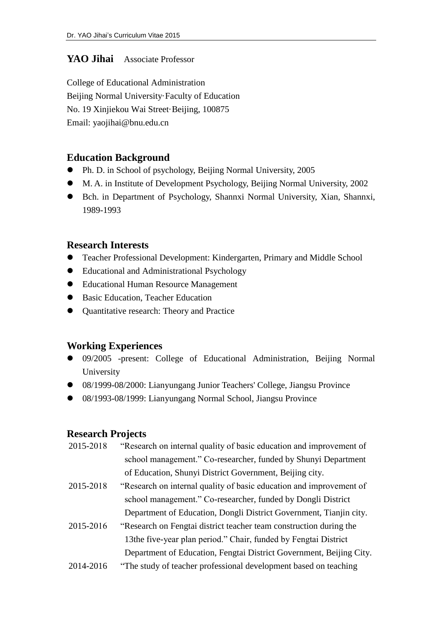### **YAO Jihai** Associate Professor

College of Educational Administration Beijing Normal University Faculty of Education No. 19 Xinjiekou Wai Street Beijing, 100875 Email: yaojihai@bnu.edu.cn

### **Education Background**

- Ph. D. in School of psychology, Beijing Normal University, 2005
- M. A. in Institute of Development Psychology, Beijing Normal University, 2002
- Bch. in Department of Psychology, Shannxi Normal University, Xian, Shannxi, 1989-1993

#### **Research Interests**

- Teacher Professional Development: Kindergarten, Primary and Middle School
- Educational and Administrational Psychology
- Educational Human Resource Management
- Basic Education, Teacher Education
- Quantitative research: Theory and Practice

### **Working Experiences**

- 09/2005 -present: College of Educational Administration, Beijing Normal University
- 08/1999-08/2000: Lianyungang Junior Teachers' College, Jiangsu Province
- 08/1993-08/1999: Lianyungang Normal School, Jiangsu Province

### **Research Projects**

- 2015-2018 "Research on internal quality of basic education and improvement of school management." Co-researcher, funded by Shunyi Department of Education, Shunyi District Government, Beijing city.
- 2015-2018 "Research on internal quality of basic education and improvement of school management." Co-researcher, funded by Dongli District Department of Education, Dongli District Government, Tianjin city.
- 2015-2016 "Research on Fengtai district teacher team construction during the 13the five-year plan period." Chair, funded by Fengtai District Department of Education, Fengtai District Government, Beijing City.
- 2014-2016 "The study of teacher professional development based on teaching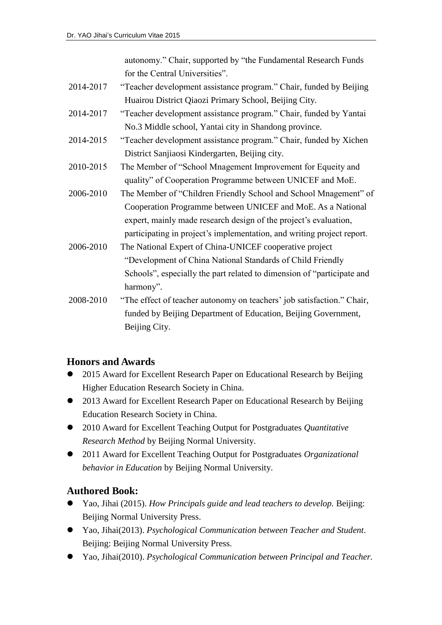autonomy." Chair, supported by "the Fundamental Research Funds for the Central Universities".

- 2014-2017 "Teacher development assistance program." Chair, funded by Beijing Huairou District Qiaozi Primary School, Beijing City.
- 2014-2017 "Teacher development assistance program." Chair, funded by Yantai No.3 Middle school, Yantai city in Shandong province.
- 2014-2015 "Teacher development assistance program." Chair, funded by Xichen District Sanjiaosi Kindergarten, Beijing city.
- 2010-2015 The Member of "School Mnagement Improvement for Equeity and quality" of Cooperation Programme between UNICEF and MoE.
- 2006-2010 The Member of "Children Friendly School and School Mnagement" of Cooperation Programme between UNICEF and MoE. As a National expert, mainly made research design of the project's evaluation, participating in project's implementation, and writing project report.
- 2006-2010 The National Expert of China-UNICEF cooperative project "Development of China National Standards of Child Friendly Schools", especially the part related to dimension of "participate and harmony".
- 2008-2010 "The effect of teacher autonomy on teachers' job satisfaction." Chair, funded by Beijing Department of Education, Beijing Government, Beijing City.

## **Honors and Awards**

- 2015 Award for Excellent Research Paper on Educational Research by Beijing Higher Education Research Society in China.
- 2013 Award for Excellent Research Paper on Educational Research by Beijing Education Research Society in China.
- 2010 Award for Excellent Teaching Output for Postgraduates *Quantitative Research Method* by Beijing Normal University.
- 2011 Award for Excellent Teaching Output for Postgraduates *Organizational behavior in Education* by Beijing Normal University.

# **Authored Book:**

- Yao, Jihai (2015). *How Principals guide and lead teachers to develop.* Beijing: Beijing Normal University Press.
- Yao, Jihai(2013). *Psychological Communication between Teacher and Student*. Beijing: Beijing Normal University Press.
- Yao, Jihai(2010). *Psychological Communication between Principal and Teacher.*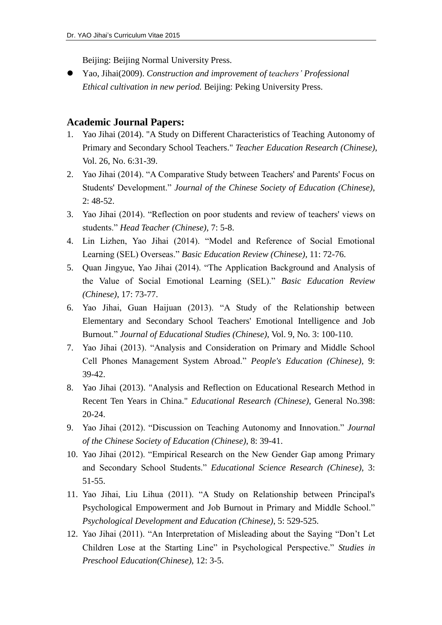Beijing: Beijing Normal University Press.

 Yao, Jihai(2009). *Construction and improvement of teachers' Professional Ethical cultivation in new period.* Beijing: Peking University Press.

#### **Academic Journal Papers:**

- 1. Yao Jihai (2014). "A Study on Different Characteristics of Teaching Autonomy of Primary and Secondary School Teachers." *Teacher Education Research (Chinese)*, Vol. 26, No. 6:31-39.
- 2. Yao Jihai (2014). "A Comparative Study between Teachers' and Parents' Focus on Students' Development." *Journal of the Chinese Society of Education (Chinese)*, 2: 48-52.
- 3. Yao Jihai (2014). "Reflection on poor students and review of teachers' views on students." *Head Teacher (Chinese)*, 7: 5-8.
- 4. Lin Lizhen, Yao Jihai (2014). "Model and Reference of Social Emotional Learning (SEL) Overseas." *Basic Education Review (Chinese)*, 11: 72-76.
- 5. Quan Jingyue, Yao Jihai (2014). "The Application Background and Analysis of the Value of Social Emotional Learning (SEL)." *Basic Education Review (Chinese)*, 17: 73-77.
- 6. Yao Jihai, Guan Haijuan (2013). "A Study of the Relationship between Elementary and Secondary School Teachers' Emotional Intelligence and Job Burnout." *Journal of Educational Studies (Chinese)*, Vol. 9, No. 3: 100-110.
- 7. Yao Jihai (2013). "Analysis and Consideration on Primary and Middle School Cell Phones Management System Abroad." *People's Education (Chinese)*, 9: 39-42.
- 8. Yao Jihai (2013). "Analysis and Reflection on Educational Research Method in Recent Ten Years in China." *Educational Research (Chinese)*, General No.398: 20-24.
- 9. Yao Jihai (2012). "Discussion on Teaching Autonomy and Innovation." *Journal of the Chinese Society of Education (Chinese)*, 8: 39-41.
- 10. Yao Jihai (2012). "Empirical Research on the New Gender Gap among Primary and Secondary School Students." *Educational Science Research (Chinese)*, 3: 51-55.
- 11. Yao Jihai, Liu Lihua (2011). "A Study on Relationship between Principal's Psychological Empowerment and Job Burnout in Primary and Middle School." *Psychological Development and Education (Chinese)*, 5: 529-525.
- 12. Yao Jihai (2011). "An Interpretation of Misleading about the Saying "Don't Let Children Lose at the Starting Line" in Psychological Perspective." *Studies in Preschool Education(Chinese)*, 12: 3-5.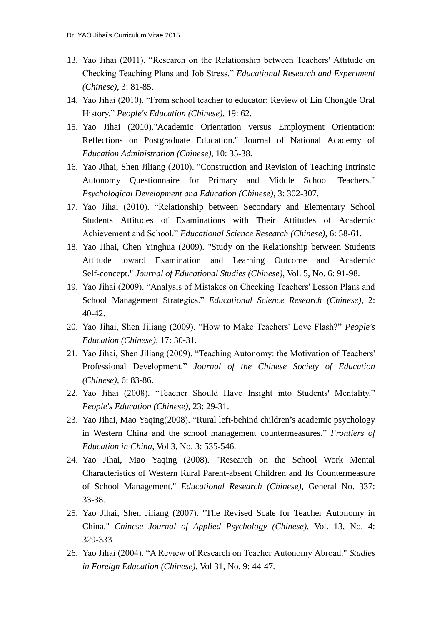- 13. Yao Jihai (2011). "Research on the Relationship between Teachers' Attitude on Checking Teaching Plans and Job Stress." *Educational Research and Experiment (Chinese)*, 3: 81-85.
- 14. Yao Jihai (2010). "From school teacher to educator: Review of Lin Chongde Oral History." *People's Education (Chinese)*, 19: 62.
- 15. Yao Jihai (2010)."Academic Orientation versus Employment Orientation: Reflections on Postgraduate Education." Journal of National Academy of *Education Administration (Chinese)*, 10: 35-38.
- 16. Yao Jihai, Shen Jiliang (2010). "Construction and Revision of Teaching Intrinsic Autonomy Questionnaire for Primary and Middle School Teachers." *Psychological Development and Education (Chinese)*, 3: 302-307.
- 17. Yao Jihai (2010). "Relationship between Secondary and Elementary School Students Attitudes of Examinations with Their Attitudes of Academic Achievement and School." *Educational Science Research (Chinese)*, 6: 58-61.
- 18. Yao Jihai, Chen Yinghua (2009). "Study on the Relationship between Students Attitude toward Examination and Learning Outcome and Academic Self-concept." *Journal of Educational Studies (Chinese)*, Vol. 5, No. 6: 91-98.
- 19. Yao Jihai (2009). "Analysis of Mistakes on Checking Teachers' Lesson Plans and School Management Strategies." *Educational Science Research (Chinese)*, 2: 40-42.
- 20. Yao Jihai, Shen Jiliang (2009). "How to Make Teachers' Love Flash?" *People's Education (Chinese)*, 17: 30-31.
- 21. Yao Jihai, Shen Jiliang (2009). "Teaching Autonomy: the Motivation of Teachers' Professional Development." *Journal of the Chinese Society of Education (Chinese)*, 6: 83-86.
- 22. Yao Jihai (2008). "Teacher Should Have Insight into Students' Mentality." *People's Education (Chinese)*, 23: 29-31.
- 23. Yao Jihai, Mao Yaqing(2008). "Rural left-behind children's academic psychology in Western China and the school management countermeasures." *Frontiers of Education in China*, Vol 3, No. 3: 535-546.
- 24. Yao Jihai, Mao Yaqing (2008). "Research on the School Work Mental Characteristics of Western Rural Parent-absent Children and Its Countermeasure of School Management." *Educational Research (Chinese),* General No. 337: 33-38.
- 25. Yao Jihai, Shen Jiliang (2007). "The Revised Scale for Teacher Autonomy in China." *Chinese Journal of Applied Psychology (Chinese)*, Vol. 13, No. 4: 329-333.
- 26. Yao Jihai (2004). "A Review of Research on Teacher Autonomy Abroad." *Studies in Foreign Education (Chinese)*, Vol 31, No. 9: 44-47.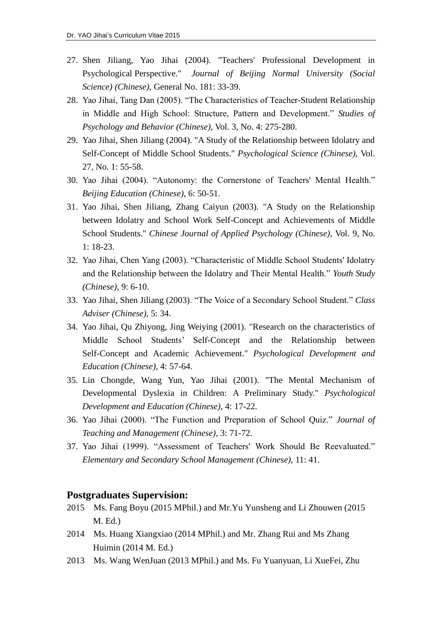- 27. Shen Jiliang, Yao Jihai (2004). "Teachers' Professional Development in Psychological Perspective." *Journal of Beijing Normal University (Social Science) (Chinese)*, General No. 181: 33-39.
- 28. Yao Jihai, Tang Dan (2005). "The Characteristics of Teacher-Student Relationship in Middle and High School: Structure, Pattern and Development." *Studies of Psychology and Behavior (Chinese)*, Vol. 3, No. 4: 275-280.
- 29. Yao Jihai, Shen Jiliang (2004). "A Study of the Relationship between Idolatry and Self-Concept of Middle School Students." *Psychological Science (Chinese)*, Vol. 27, No. 1: 55-58.
- 30. Yao Jihai (2004). "Autonomy: the Cornerstone of Teachers' Mental Health." *Beijing Education (Chinese)*, 6: 50-51.
- 31. Yao Jihai, Shen Jiliang, Zhang Caiyun (2003). "A Study on the Relationship between Idolatry and School Work Self-Concept and Achievements of Middle School Students." *Chinese Journal of Applied Psychology (Chinese)*, Vol. 9, No. 1: 18-23.
- 32. Yao Jihai, Chen Yang (2003). "Characteristic of Middle School Students' Idolatry and the Relationship between the Idolatry and Their Mental Health." *Youth Study (Chinese)*, 9: 6-10.
- 33. Yao Jihai, Shen Jiliang (2003). "The Voice of a Secondary School Student." *Class Adviser (Chinese)*, 5: 34.
- 34. Yao Jihai, Qu Zhiyong, Jing Weiying (2001). "Research on the characteristics of Middle School Students' Self-Concept and the Relationship between Self-Concept and Academic Achievement." *Psychological Development and Education (Chinese)*, 4: 57-64.
- 35. Lin Chongde, Wang Yun, Yao Jihai (2001). "The Mental Mechanism of Developmental Dyslexia in Children: A Preliminary Study." *Psychological Development and Education (Chinese)*, 4: 17-22.
- 36. Yao Jihai (2000). "The Function and Preparation of School Quiz." *Journal of Teaching and Management (Chinese)*, 3: 71-72.
- 37. Yao Jihai (1999). "Assessment of Teachers' Work Should Be Reevaluated." *Elementary and Secondary School Management (Chinese)*, 11: 41.

#### **Postgraduates Supervision:**

- 2015 Ms. Fang Boyu (2015 MPhil.) and Mr.Yu Yunsheng and Li Zhouwen (2015 M. Ed.)
- 2014 Ms. Huang Xiangxiao (2014 MPhil.) and Mr. Zhang Rui and Ms Zhang Huimin (2014 M. Ed.)
- 2013 Ms. Wang WenJuan (2013 MPhil.) and Ms. Fu Yuanyuan, Li XueFei, Zhu